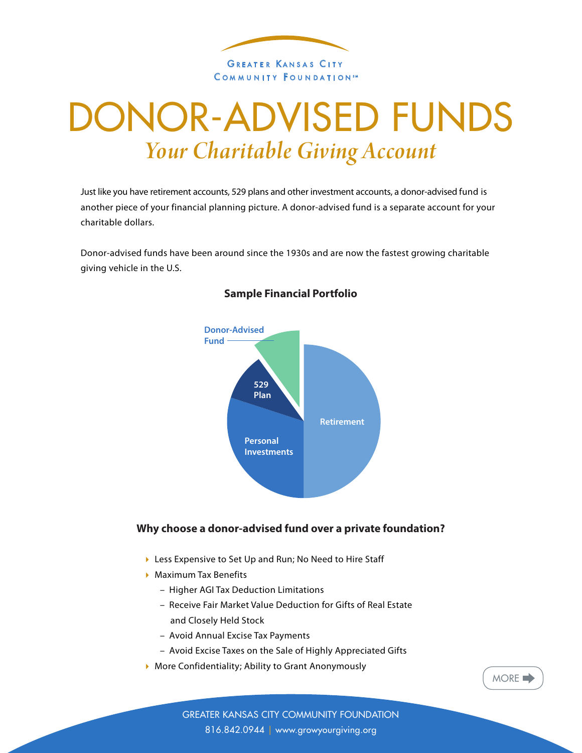

# DONOR-ADVISED FUNDS *Your Charitable Giving Account*

Just like you have retirement accounts, 529 plans and other investment accounts, a donor-advised fund is another piece of your financial planning picture. A donor-advised fund is a separate account for your charitable dollars.

Donor-advised funds have been around since the 1930s and are now the fastest growing charitable giving vehicle in the U.S.



## **Sample Financial Portfolio**

## **Why choose a donor-advised fund over a private foundation?**

- ▶ Less Expensive to Set Up and Run; No Need to Hire Staff
- **Maximum Tax Benefits** 
	- Higher AGI Tax Deduction Limitations
	- Receive Fair Market Value Deduction for Gifts of Real Estate and Closely Held Stock
	- Avoid Annual Excise Tax Payments
	- Avoid Excise Taxes on the Sale of Highly Appreciated Gifts
- 4 More Confidentiality; Ability to Grant Anonymously



GREATER KANSAS CITY COMMUNITY FOUNDATION 816.842.0944 | www.growyourgiving.org